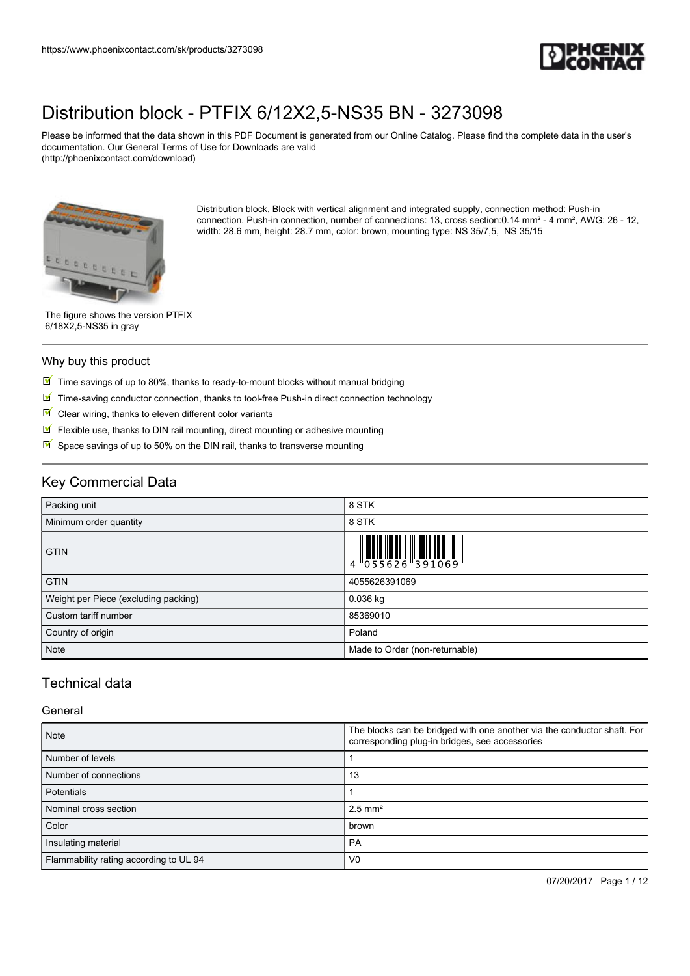

Please be informed that the data shown in this PDF Document is generated from our Online Catalog. Please find the complete data in the user's documentation. Our General Terms of Use for Downloads are valid (http://phoenixcontact.com/download)



Distribution block, Block with vertical alignment and integrated supply, connection method: Push-in connection, Push-in connection, number of connections: 13, cross section:0.14 mm² - 4 mm², AWG: 26 - 12, width: 28.6 mm, height: 28.7 mm, color: brown, mounting type: NS 35/7,5, NS 35/15

The figure shows the version PTFIX 6/18X2,5-NS35 in gray

#### Why buy this product

- $\boxed{\blacksquare}$  Time savings of up to 80%, thanks to ready-to-mount blocks without manual bridging
- $\boxed{\blacksquare}$  Time-saving conductor connection, thanks to tool-free Push-in direct connection technology
- $\blacksquare$  Clear wiring, thanks to eleven different color variants
- $\sqrt{}$ Flexible use, thanks to DIN rail mounting, direct mounting or adhesive mounting
- $\triangleright$  Space savings of up to 50% on the DIN rail, thanks to transverse mounting

# Key Commercial Data

| Packing unit                         | 8 STK                                                                                                                                                                                                                                                                                                                    |
|--------------------------------------|--------------------------------------------------------------------------------------------------------------------------------------------------------------------------------------------------------------------------------------------------------------------------------------------------------------------------|
| Minimum order quantity               | 8 STK                                                                                                                                                                                                                                                                                                                    |
| <b>GTIN</b>                          | $\begin{array}{c} 1 & 0 & 0 & 0 \\ 0 & 0 & 5 & 5 & 6 & 2 & 6 \\ 0 & 0 & 5 & 5 & 6 & 2 & 6 \\ 0 & 0 & 0 & 0 & 0 & 3 & 9 & 1 \\ 0 & 0 & 0 & 0 & 0 & 9 & 1 \\ 0 & 0 & 0 & 0 & 0 & 9 & 1 \\ 0 & 0 & 0 & 0 & 0 & 9 & 1 \\ 0 & 0 & 0 & 0 & 0 & 9 & 1 \\ 0 & 0 & 0 & 0 & 0 & 9 & 1 \\ 0 & 0 & 0 & 0 & 0 & 9 & 1 \\ 0 & 0 & 0 &$ |
| <b>GTIN</b>                          | 4055626391069                                                                                                                                                                                                                                                                                                            |
| Weight per Piece (excluding packing) | $0.036$ kg                                                                                                                                                                                                                                                                                                               |
| Custom tariff number                 | 85369010                                                                                                                                                                                                                                                                                                                 |
| Country of origin                    | Poland                                                                                                                                                                                                                                                                                                                   |
| Note                                 | Made to Order (non-returnable)                                                                                                                                                                                                                                                                                           |

## Technical data

#### **General**

| <b>Note</b>                            | The blocks can be bridged with one another via the conductor shaft. For<br>corresponding plug-in bridges, see accessories |  |
|----------------------------------------|---------------------------------------------------------------------------------------------------------------------------|--|
| Number of levels                       |                                                                                                                           |  |
| Number of connections                  | 13                                                                                                                        |  |
| <b>Potentials</b>                      |                                                                                                                           |  |
| Nominal cross section                  | $2.5$ mm <sup>2</sup>                                                                                                     |  |
| Color                                  | brown                                                                                                                     |  |
| Insulating material                    | PA                                                                                                                        |  |
| Flammability rating according to UL 94 | V <sub>0</sub>                                                                                                            |  |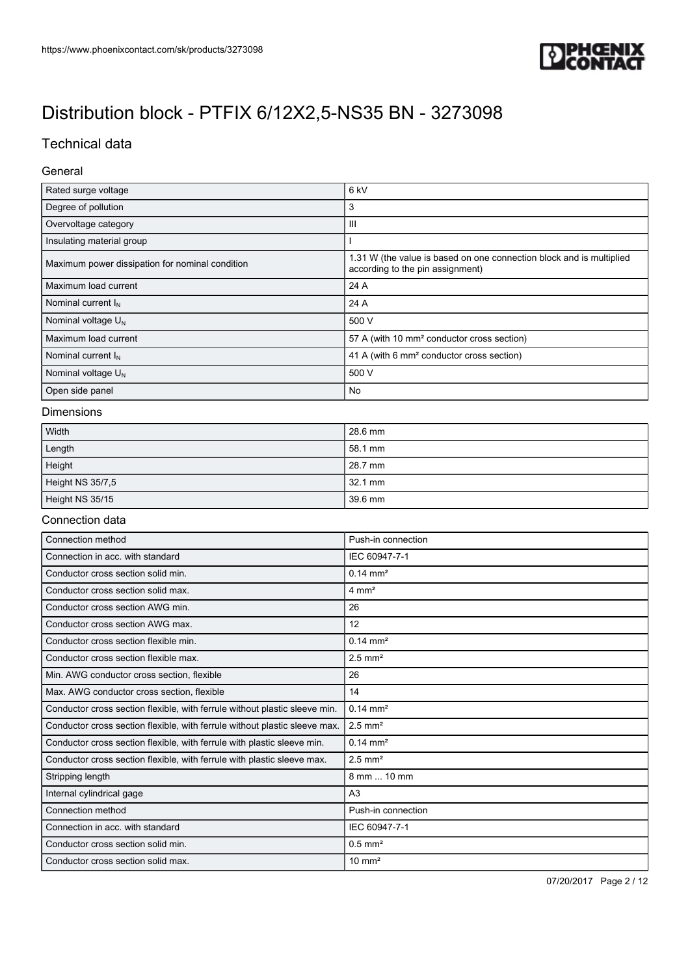

# Technical data

### General

| Rated surge voltage                             | 6 <sub>kV</sub>                                                                                          |  |
|-------------------------------------------------|----------------------------------------------------------------------------------------------------------|--|
| Degree of pollution                             | 3                                                                                                        |  |
| Overvoltage category                            | Ш                                                                                                        |  |
| Insulating material group                       |                                                                                                          |  |
| Maximum power dissipation for nominal condition | 1.31 W (the value is based on one connection block and is multiplied<br>according to the pin assignment) |  |
| Maximum load current                            | 24 A                                                                                                     |  |
| Nominal current $I_N$                           | 24 A                                                                                                     |  |
| Nominal voltage $U_N$                           | 500 V                                                                                                    |  |
| Maximum load current                            | 57 A (with 10 mm <sup>2</sup> conductor cross section)                                                   |  |
| Nominal current $I_N$                           | 41 A (with 6 mm <sup>2</sup> conductor cross section)                                                    |  |
| Nominal voltage $U_N$                           | 500 V                                                                                                    |  |
| Open side panel                                 | No                                                                                                       |  |

### Dimensions

| Width            | 28.6 mm |
|------------------|---------|
| Length           | 58.1 mm |
| Height           | 28.7 mm |
| Height NS 35/7,5 | 32.1 mm |
| Height NS 35/15  | 39.6 mm |

#### Connection data

| Connection method                                                          | Push-in connection    |
|----------------------------------------------------------------------------|-----------------------|
| Connection in acc. with standard                                           | IEC 60947-7-1         |
| Conductor cross section solid min.                                         | $0.14 \, \text{mm}^2$ |
| Conductor cross section solid max.                                         | $4 \text{ mm}^2$      |
| Conductor cross section AWG min.                                           | 26                    |
| Conductor cross section AWG max.                                           | 12                    |
| Conductor cross section flexible min.                                      | $0.14 \, \text{mm}^2$ |
| Conductor cross section flexible max.                                      | $2.5$ mm <sup>2</sup> |
| Min. AWG conductor cross section, flexible                                 | 26                    |
| Max. AWG conductor cross section, flexible                                 | 14                    |
| Conductor cross section flexible, with ferrule without plastic sleeve min. | $0.14 \text{ mm}^2$   |
| Conductor cross section flexible, with ferrule without plastic sleeve max. | $2.5$ mm <sup>2</sup> |
| Conductor cross section flexible, with ferrule with plastic sleeve min.    | $0.14 \text{ mm}^2$   |
| Conductor cross section flexible, with ferrule with plastic sleeve max.    | $2.5$ mm <sup>2</sup> |
| Stripping length                                                           | 8 mm  10 mm           |
| Internal cylindrical gage                                                  | A <sub>3</sub>        |
| Connection method                                                          | Push-in connection    |
| Connection in acc. with standard                                           | IEC 60947-7-1         |
| Conductor cross section solid min.                                         | $0.5$ mm <sup>2</sup> |
| Conductor cross section solid max.                                         | $10 \text{ mm}^2$     |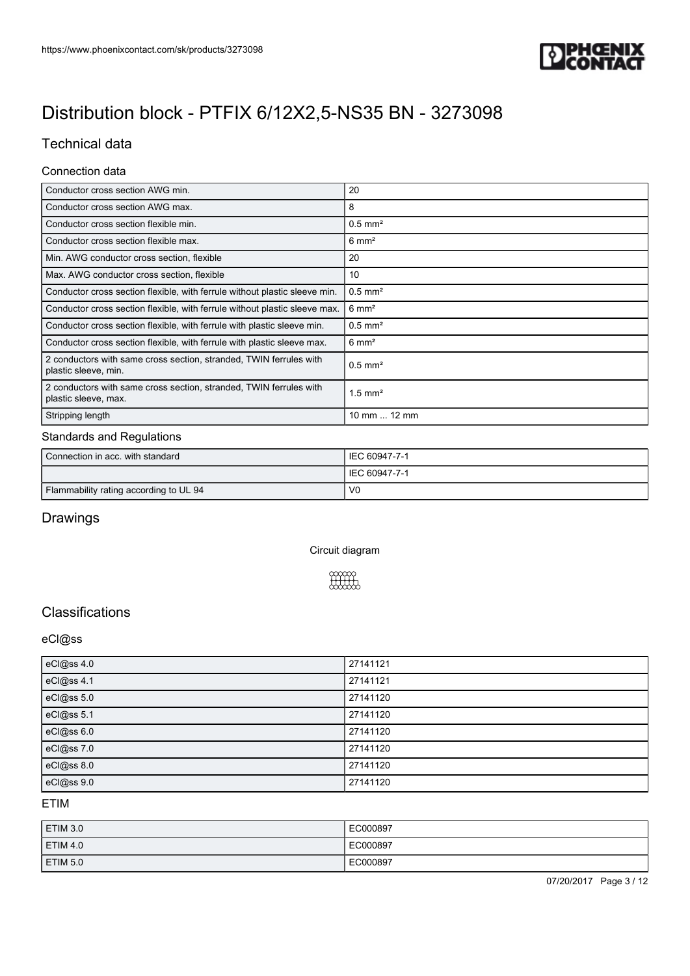

# Technical data

### Connection data

| Conductor cross section AWG min.                                                           | 20                    |
|--------------------------------------------------------------------------------------------|-----------------------|
| Conductor cross section AWG max.                                                           | 8                     |
| Conductor cross section flexible min.                                                      | $0.5$ mm <sup>2</sup> |
| Conductor cross section flexible max.                                                      | $6 \text{ mm}^2$      |
| Min. AWG conductor cross section, flexible                                                 | 20                    |
| Max. AWG conductor cross section, flexible                                                 | 10                    |
| Conductor cross section flexible, with ferrule without plastic sleeve min.                 | $0.5$ mm <sup>2</sup> |
| Conductor cross section flexible, with ferrule without plastic sleeve max.                 | $6 \text{ mm}^2$      |
| Conductor cross section flexible, with ferrule with plastic sleeve min.                    | $0.5$ mm <sup>2</sup> |
| Conductor cross section flexible, with ferrule with plastic sleeve max.                    | $6 \text{ mm}^2$      |
| 2 conductors with same cross section, stranded, TWIN ferrules with<br>plastic sleeve, min. | $0.5$ mm <sup>2</sup> |
| 2 conductors with same cross section, stranded, TWIN ferrules with<br>plastic sleeve, max. | $1.5$ mm <sup>2</sup> |
| Stripping length                                                                           | 10 mm  12 mm          |

#### Standards and Regulations

| Connection in acc. with standard       | LIEC 60947-7-1  |
|----------------------------------------|-----------------|
|                                        | I IEC 60947-7-1 |
| Flammability rating according to UL 94 | - VC            |

# Drawings

Circuit diagram



## **Classifications**

### eCl@ss

| eCl@ss 4.0 | 27141121 |
|------------|----------|
| eCl@ss 4.1 | 27141121 |
| eCl@ss 5.0 | 27141120 |
| eCl@ss 5.1 | 27141120 |
| eCl@ss 6.0 | 27141120 |
| eCl@ss 7.0 | 27141120 |
| eCl@ss 8.0 | 27141120 |
| eCl@ss 9.0 | 27141120 |

ETIM

| <b>ETIM 3.0</b> | EC000897 |
|-----------------|----------|
| <b>ETIM 4.0</b> | EC000897 |
| ETIM 5.0        | EC000897 |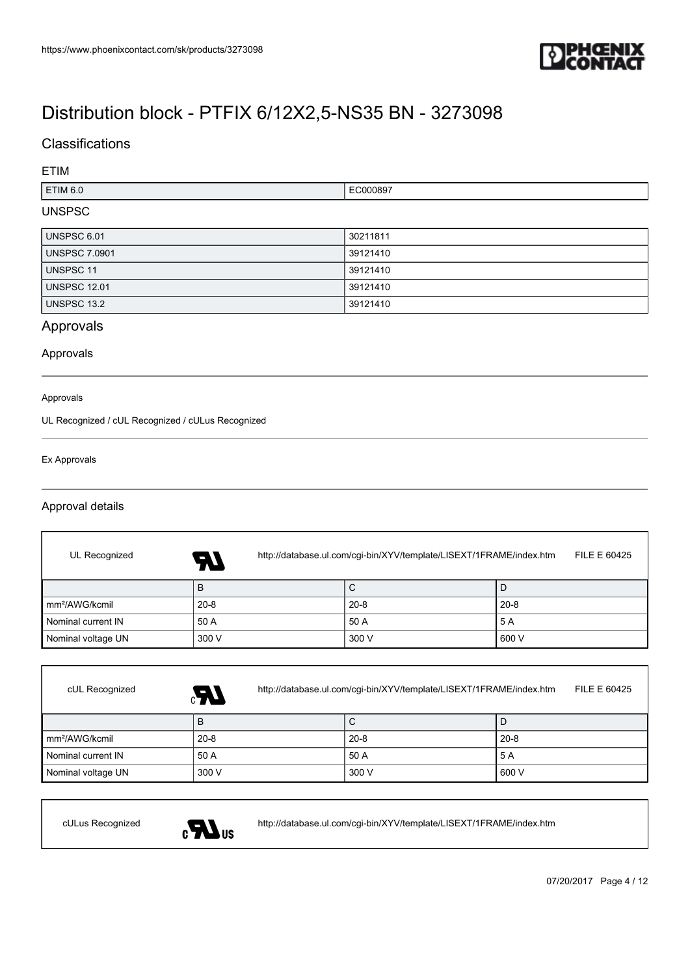

## **Classifications**

### ETIM

| TIM 6.0. | .<br>789 |
|----------|----------|
|          |          |

## UNSPSC

| <b>UNSPSC 6.01</b>   | 30211811 |
|----------------------|----------|
| <b>UNSPSC 7.0901</b> | 39121410 |
| UNSPSC 11            | 39121410 |
| <b>UNSPSC 12.01</b>  | 39121410 |
| UNSPSC 13.2          | 39121410 |

# Approvals

Approvals

#### Approvals

UL Recognized / cUL Recognized / cULus Recognized

#### Ex Approvals

### Approval details

| UL Recognized              | http://database.ul.com/cgi-bin/XYV/template/LISEXT/1FRAME/index.htm<br>74 | FILE E 60425 |          |
|----------------------------|---------------------------------------------------------------------------|--------------|----------|
|                            | в                                                                         | С            |          |
| mm <sup>2</sup> /AWG/kcmil | $20 - 8$                                                                  | $20 - 8$     | $20 - 8$ |
| Nominal current IN         | 50 A                                                                      | 50 A         | 5 A      |
| Nominal voltage UN         | 300 V                                                                     | 300 V        | 600 V    |

| cUL Recognized             | http://database.ul.com/cgi-bin/XYV/template/LISEXT/1FRAME/index.htm<br>GR. | FILE E 60425 |          |
|----------------------------|----------------------------------------------------------------------------|--------------|----------|
|                            | B                                                                          | ◡            |          |
| Im <sup>2</sup> /AWG/kcmil | $20 - 8$                                                                   | $20 - 8$     | $20 - 8$ |
| Nominal current IN         | 50 A                                                                       | 50 A         | 5 A      |
| Nominal voltage UN         | 300 V                                                                      | 300 V        | 600 V    |



cULus Recognized <http://database.ul.com/cgi-bin/XYV/template/LISEXT/1FRAME/index.htm>

07/20/2017 Page 4 / 12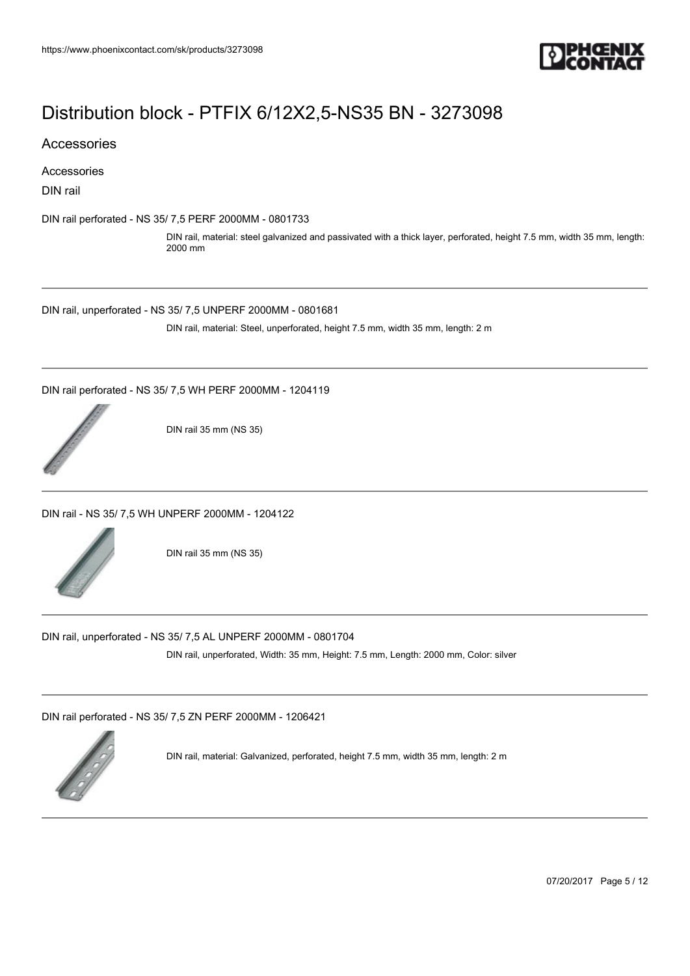

Accessories

Accessories

DIN rail

[DIN rail perforated - NS 35/ 7,5 PERF 2000MM - 0801733](https://www.phoenixcontact.com/sk/products/0801733)

DIN rail, material: steel galvanized and passivated with a thick layer, perforated, height 7.5 mm, width 35 mm, length: 2000 mm

[DIN rail, unperforated - NS 35/ 7,5 UNPERF 2000MM - 0801681](https://www.phoenixcontact.com/sk/products/0801681)

DIN rail, material: Steel, unperforated, height 7.5 mm, width 35 mm, length: 2 m

[DIN rail perforated - NS 35/ 7,5 WH PERF 2000MM - 1204119](https://www.phoenixcontact.com/sk/products/1204119)



DIN rail 35 mm (NS 35)

[DIN rail - NS 35/ 7,5 WH UNPERF 2000MM - 1204122](https://www.phoenixcontact.com/sk/products/1204122)



DIN rail 35 mm (NS 35)

[DIN rail, unperforated - NS 35/ 7,5 AL UNPERF 2000MM - 0801704](https://www.phoenixcontact.com/sk/products/0801704)

DIN rail, unperforated, Width: 35 mm, Height: 7.5 mm, Length: 2000 mm, Color: silver

[DIN rail perforated - NS 35/ 7,5 ZN PERF 2000MM - 1206421](https://www.phoenixcontact.com/sk/products/1206421)



DIN rail, material: Galvanized, perforated, height 7.5 mm, width 35 mm, length: 2 m

07/20/2017 Page 5 / 12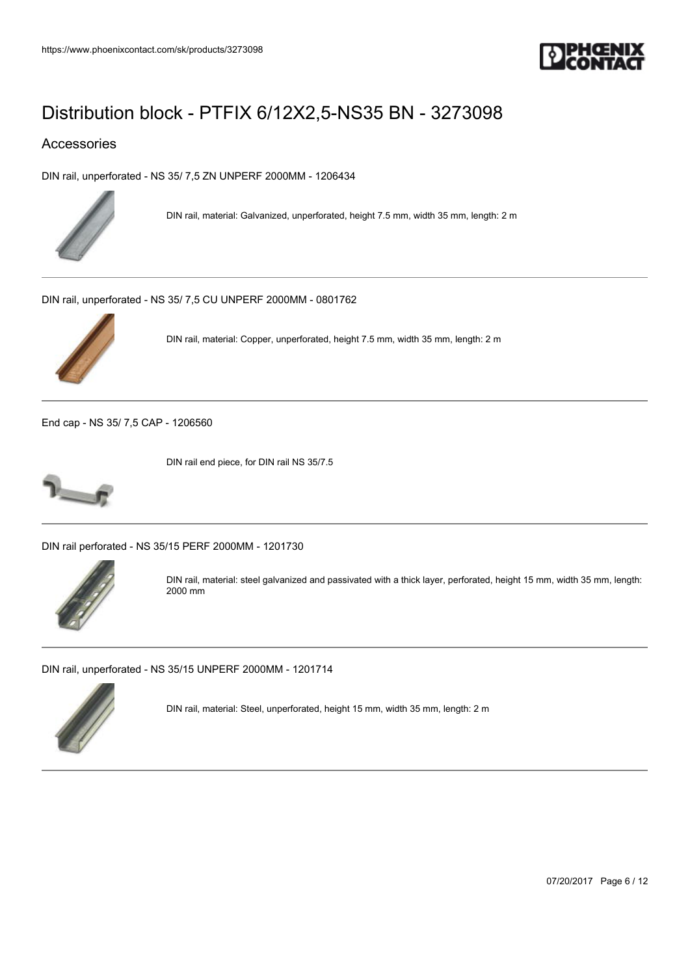

## Accessories

[DIN rail, unperforated - NS 35/ 7,5 ZN UNPERF 2000MM - 1206434](https://www.phoenixcontact.com/sk/products/1206434)



DIN rail, material: Galvanized, unperforated, height 7.5 mm, width 35 mm, length: 2 m

[DIN rail, unperforated - NS 35/ 7,5 CU UNPERF 2000MM - 0801762](https://www.phoenixcontact.com/sk/products/0801762)



DIN rail, material: Copper, unperforated, height 7.5 mm, width 35 mm, length: 2 m

[End cap - NS 35/ 7,5 CAP - 1206560](https://www.phoenixcontact.com/sk/products/1206560)



DIN rail end piece, for DIN rail NS 35/7.5

[DIN rail perforated - NS 35/15 PERF 2000MM - 1201730](https://www.phoenixcontact.com/sk/products/1201730)



DIN rail, material: steel galvanized and passivated with a thick layer, perforated, height 15 mm, width 35 mm, length: 2000 mm

[DIN rail, unperforated - NS 35/15 UNPERF 2000MM - 1201714](https://www.phoenixcontact.com/sk/products/1201714)



DIN rail, material: Steel, unperforated, height 15 mm, width 35 mm, length: 2 m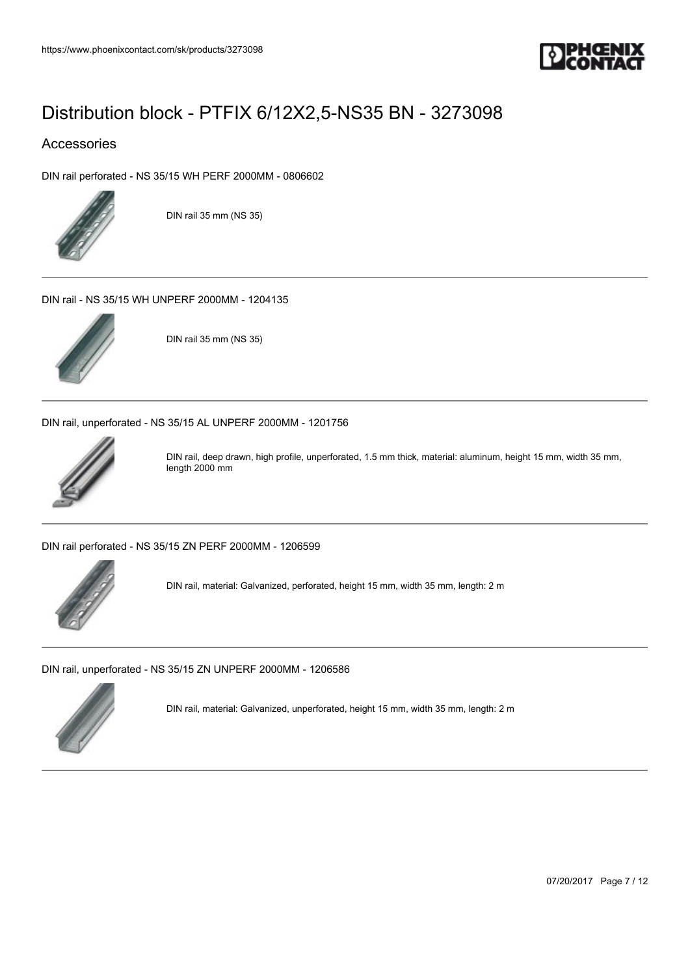

## Accessories

[DIN rail perforated - NS 35/15 WH PERF 2000MM - 0806602](https://www.phoenixcontact.com/sk/products/0806602)



DIN rail 35 mm (NS 35)

[DIN rail - NS 35/15 WH UNPERF 2000MM - 1204135](https://www.phoenixcontact.com/sk/products/1204135)



DIN rail 35 mm (NS 35)

[DIN rail, unperforated - NS 35/15 AL UNPERF 2000MM - 1201756](https://www.phoenixcontact.com/sk/products/1201756)



DIN rail, deep drawn, high profile, unperforated, 1.5 mm thick, material: aluminum, height 15 mm, width 35 mm, length 2000 mm

[DIN rail perforated - NS 35/15 ZN PERF 2000MM - 1206599](https://www.phoenixcontact.com/sk/products/1206599)



DIN rail, material: Galvanized, perforated, height 15 mm, width 35 mm, length: 2 m

[DIN rail, unperforated - NS 35/15 ZN UNPERF 2000MM - 1206586](https://www.phoenixcontact.com/sk/products/1206586)



DIN rail, material: Galvanized, unperforated, height 15 mm, width 35 mm, length: 2 m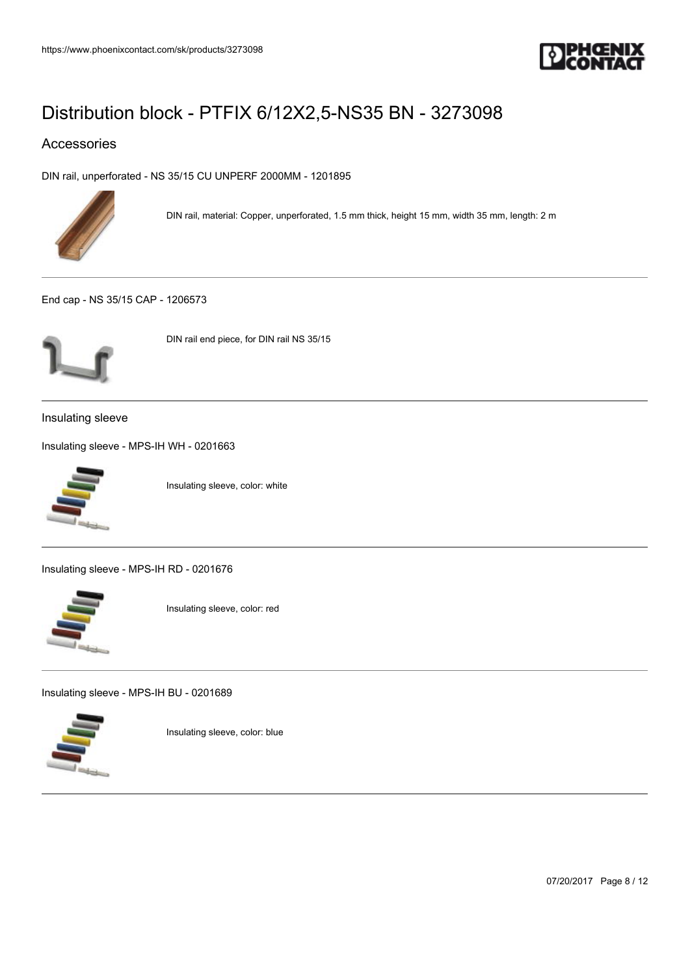

## Accessories

[DIN rail, unperforated - NS 35/15 CU UNPERF 2000MM - 1201895](https://www.phoenixcontact.com/sk/products/1201895)



DIN rail, material: Copper, unperforated, 1.5 mm thick, height 15 mm, width 35 mm, length: 2 m

[End cap - NS 35/15 CAP - 1206573](https://www.phoenixcontact.com/sk/products/1206573)



DIN rail end piece, for DIN rail NS 35/15

Insulating sleeve

[Insulating sleeve - MPS-IH WH - 0201663](https://www.phoenixcontact.com/sk/products/0201663)



Insulating sleeve, color: white

[Insulating sleeve - MPS-IH RD - 0201676](https://www.phoenixcontact.com/sk/products/0201676)



Insulating sleeve, color: red

[Insulating sleeve - MPS-IH BU - 0201689](https://www.phoenixcontact.com/sk/products/0201689)



Insulating sleeve, color: blue

07/20/2017 Page 8 / 12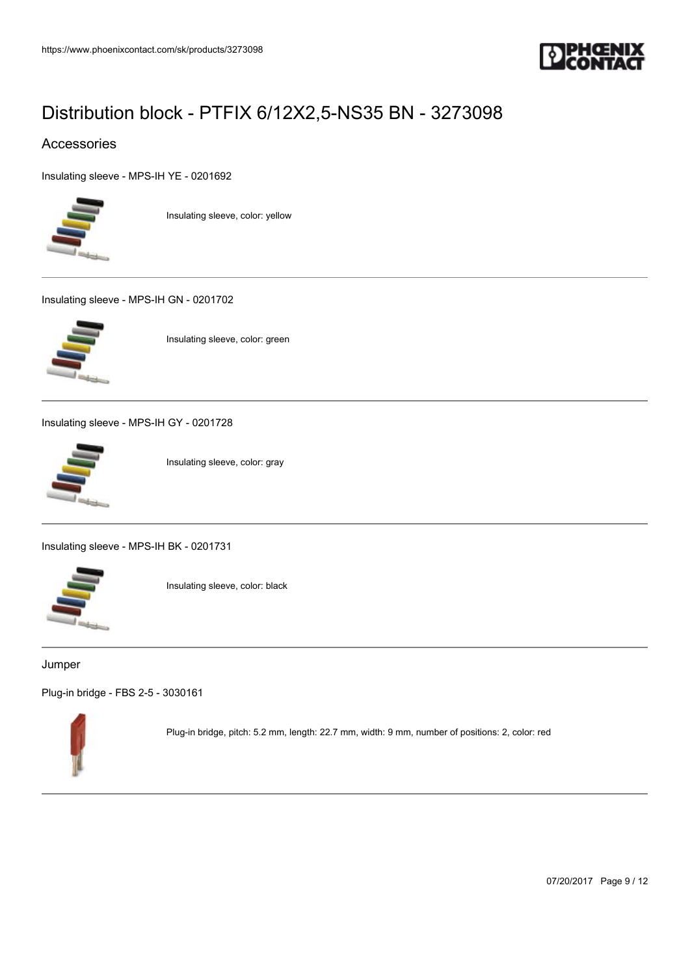

## Accessories

[Insulating sleeve - MPS-IH YE - 0201692](https://www.phoenixcontact.com/sk/products/0201692)



Insulating sleeve, color: yellow

[Insulating sleeve - MPS-IH GN - 0201702](https://www.phoenixcontact.com/sk/products/0201702)



Insulating sleeve, color: green

[Insulating sleeve - MPS-IH GY - 0201728](https://www.phoenixcontact.com/sk/products/0201728)



Insulating sleeve, color: gray

[Insulating sleeve - MPS-IH BK - 0201731](https://www.phoenixcontact.com/sk/products/0201731)



Insulating sleeve, color: black

### Jumper

[Plug-in bridge - FBS 2-5 - 3030161](https://www.phoenixcontact.com/sk/products/3030161)



Plug-in bridge, pitch: 5.2 mm, length: 22.7 mm, width: 9 mm, number of positions: 2, color: red

07/20/2017 Page 9 / 12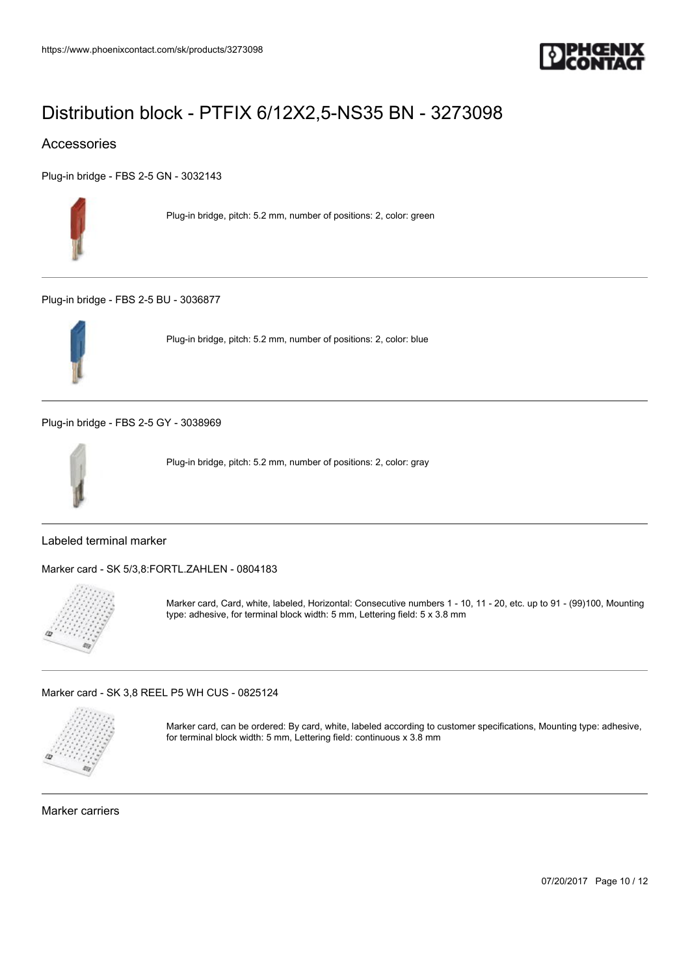

## Accessories

[Plug-in bridge - FBS 2-5 GN - 3032143](https://www.phoenixcontact.com/sk/products/3032143)



Plug-in bridge, pitch: 5.2 mm, number of positions: 2, color: green

[Plug-in bridge - FBS 2-5 BU - 3036877](https://www.phoenixcontact.com/sk/products/3036877)



Plug-in bridge, pitch: 5.2 mm, number of positions: 2, color: blue

[Plug-in bridge - FBS 2-5 GY - 3038969](https://www.phoenixcontact.com/sk/products/3038969)



Plug-in bridge, pitch: 5.2 mm, number of positions: 2, color: gray

## Labeled terminal marker

[Marker card - SK 5/3,8:FORTL.ZAHLEN - 0804183](https://www.phoenixcontact.com/sk/products/0804183)



Marker card, Card, white, labeled, Horizontal: Consecutive numbers 1 - 10, 11 - 20, etc. up to 91 - (99)100, Mounting type: adhesive, for terminal block width: 5 mm, Lettering field: 5 x 3.8 mm

[Marker card - SK 3,8 REEL P5 WH CUS - 0825124](https://www.phoenixcontact.com/sk/products/0825124)



Marker card, can be ordered: By card, white, labeled according to customer specifications, Mounting type: adhesive, for terminal block width: 5 mm, Lettering field: continuous x 3.8 mm

Marker carriers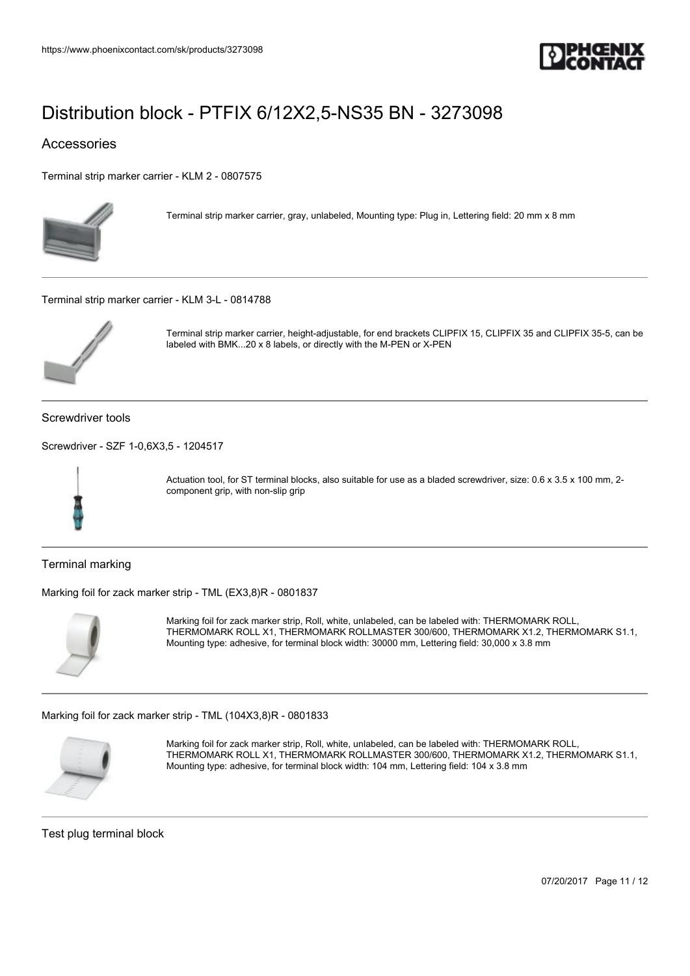

## Accessories

[Terminal strip marker carrier - KLM 2 - 0807575](https://www.phoenixcontact.com/sk/products/0807575)



Terminal strip marker carrier, gray, unlabeled, Mounting type: Plug in, Lettering field: 20 mm x 8 mm

[Terminal strip marker carrier - KLM 3-L - 0814788](https://www.phoenixcontact.com/sk/products/0814788)



Terminal strip marker carrier, height-adjustable, for end brackets CLIPFIX 15, CLIPFIX 35 and CLIPFIX 35-5, can be labeled with BMK...20 x 8 labels, or directly with the M-PEN or X-PEN

Screwdriver tools

[Screwdriver - SZF 1-0,6X3,5 - 1204517](https://www.phoenixcontact.com/sk/products/1204517)



Actuation tool, for ST terminal blocks, also suitable for use as a bladed screwdriver, size: 0.6 x 3.5 x 100 mm, 2component grip, with non-slip grip

Terminal marking

[Marking foil for zack marker strip - TML \(EX3,8\)R - 0801837](https://www.phoenixcontact.com/sk/products/0801837)



Marking foil for zack marker strip, Roll, white, unlabeled, can be labeled with: THERMOMARK ROLL, THERMOMARK ROLL X1, THERMOMARK ROLLMASTER 300/600, THERMOMARK X1.2, THERMOMARK S1.1, Mounting type: adhesive, for terminal block width: 30000 mm, Lettering field: 30,000 x 3.8 mm

[Marking foil for zack marker strip - TML \(104X3,8\)R - 0801833](https://www.phoenixcontact.com/sk/products/0801833)



Marking foil for zack marker strip, Roll, white, unlabeled, can be labeled with: THERMOMARK ROLL, THERMOMARK ROLL X1, THERMOMARK ROLLMASTER 300/600, THERMOMARK X1.2, THERMOMARK S1.1, Mounting type: adhesive, for terminal block width: 104 mm, Lettering field: 104 x 3.8 mm

Test plug terminal block